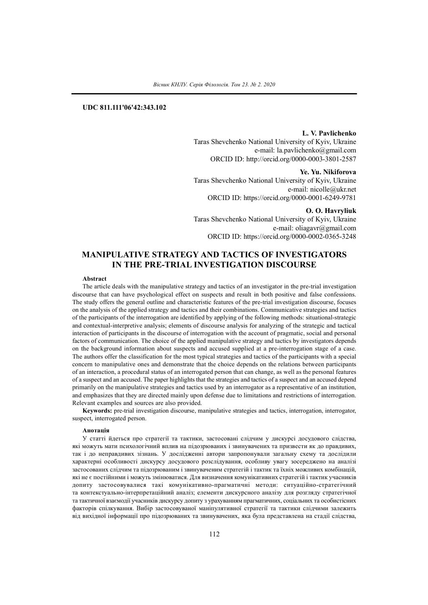# **UDC 811.111'06'42:343.102**

**L. V. Pavlichenko**

Taras Shevchenko National University of Kyiv, Ukraine e-mail: la.pavlichenko@gmail.com ORCID ID: http://orcid.org/0000-0003-3801-2587

**Ye. Yu. Nikiforova** Taras Shevchenko National University of Kyiv, Ukraine e-mail: nicolle@ukr.net ORCID ID: https://orcid.org/0000-0001-6249-9781

**O. O. Havryliuk**

Taras Shevchenko National University of Kyiv, Ukraine e-mail: oliagavr@gmail.com ORCID ID: https://orcid.org/0000-0002-0365-3248

# **MANIPULATIVE STRATEGY AND TACTICS OF INVESTIGATORS IN THE PRE-TRIAL INVESTIGATION DISCOURSE**

#### **Abstract**

The article deals with the manipulative strategy and tactics of an investigator in the pre-trial investigation discourse that can have psychological effect on suspects and result in both positive and false confessions. The study offers the general outline and characteristic features of the pre-trial investigation discourse, focuses on the analysis of the applied strategy and tactics and their combinations. Communicative strategies and tactics of the participants of the interrogation are identified by applying of the following methods: situational-strategic and contextual-interpretive analysis; elements of discourse analysis for analyzing of the strategic and tactical interaction of participants in the discourse of interrogation with the account of pragmatic, social and personal factors of communication. The choice of the applied manipulative strategy and tactics by investigators depends on the background information about suspects and accused supplied at a pre-interrogation stage of a case. The authors offer the classification for the most typical strategies and tactics of the participants with a special concern to manipulative ones and demonstrate that the choice depends on the relations between participants of an interaction, a procedural status of an interrogated person that can change, as well as the personal features of a suspect and an accused. The paper highlights that the strategies and tactics of a suspect and an accused depend primarily on the manipulative strategies and tactics used by an interrogator as a representative of an institution, and emphasizes that they are directed mainly upon defense due to limitations and restrictions of interrogation. Relevant examples and sources are also provided.

**Keywords:** pre-trial investigation discourse, manipulative strategies and tactics, interrogation, interrogator, suspect, interrogated person.

#### **Анотація**

У статті йдеться про стратегії та тактики, застосовані слідчим у дискурсі досудового слідства, які можуть мати психологічний вплив на підозрюваних і звинувачених та призвести як до правдивих, так і до неправдивих зізнань. У дослідженні автори запропонували загальну схему та дослідили характерні особливості дискурсу досудового розслідування, особливу увагу зосереджено на аналізі застосованих слідчим та підозрюваним і звинуваченим стратегій і тактик та їхніх можливих комбінацій, які не є постійними і можуть змінюватися. Для визначення комунікативних стратегій і тактик учасників допиту застосовувалися такі комунікативно-прагматичні методи: ситуаційно-стратегічний та контекстуально-інтерпретаційний аналіз; елементи дискурсного аналізу для розгляду стратегічної та тактичної взаємодії учасників дискурсу допиту з урахуванням прагматичних, соціальних та особистісних факторів спілкування. Вибір застосовуваної маніпулятивної стратегії та тактики слідчими залежить від вихідної інформації про підозрюваних та звинувачених, яка була представлена на стадії слідства,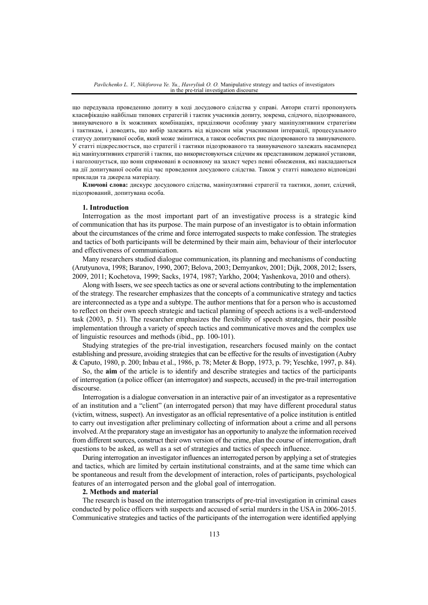що передувала проведенню допиту в ході досудового слідства у справі. Автори статті пропонують класифікацію найбільш типових стратегій і тактик учасників допиту, зокрема, слідчого, підозрюваного, звинуваченого в їх можливих комбінаціях, приділяючи особливу увагу маніпулятивним стратегіям і тактикам, і доводять, що вибір залежить від відносин між учасниками інтеракції, процесуального статусу допитуваної особи, який може змінитися, а також особистих рис підозрюваного та звинуваченого. У статті підкреслюється, що стратегії і тактики підозрюваного та звинуваченого залежать насамперед від маніпулятивних стратегій і тактик, що використовуються слідчим як представником держаної установи, і наголошується, що вони спрямовані в основному на захист через певні обмеження, які накладаються на дії допитуваної особи під час проведення досудового слідства. Також у статті наводено відповідні приклади та джерела матеріалу.

**Ключові слова:** дискурс досудового слідства, маніпулятивні стратегії та тактики, допит, слідчий, підозрюваний, допитувана особа.

#### **1. Introduction**

Interrogation as the most important part of an investigative process is a strategic kind of communication that has its purpose. The main purpose of an investigator is to obtain information about the circumstances of the crime and force interrogated suspects to make confession. The strategies and tactics of both participants will be determined by their main aim, behaviour of their interlocutor and effectiveness of communication.

Many researchers studied dialogue communication, its planning and mechanisms of conducting (Arutyunova, 1998; Baranov, 1990, 2007; Belova, 2003; Demyankov, 2001; Dijk, 2008, 2012; Issers, 2009, 2011; Kochetova, 1999; Sacks, 1974, 1987; Yarkho, 2004; Yashenkova, 2010 and others).

Along with Issers, we see speech tactics as one orseveral actions contributing to the implementation of the strategy. The researcher emphasizes that the concepts of a communicative strategy and tactics are interconnected as a type and a subtype. The author mentions that for a person who is accustomed to reflect on their own speech strategic and tactical planning of speech actions is a well-understood task (2003, p. 51). The researcher emphasizes the flexibility of speech strategies, their possible implementation through a variety of speech tactics and communicative moves and the complex use of linguistic resources and methods (ibid., pp. 100-101).

Studying strategies of the pre-trial investigation, researchers focused mainly on the contact establishing and pressure, avoiding strategies that can be effective for the results of investigation (Aubry & Caputo, 1980, p. 200; Inbau et al., 1986, p. 78; Meter & Bopp, 1973, p. 79; Yeschke, 1997, p. 84).

So, the **aim** of the article is to identify and describe strategies and tactics of the participants of interrogation (a police officer (an interrogator) and suspects, accused) in the pre-trail interrogation discourse.

Interrogation is a dialogue conversation in an interactive pair of an investigator as a representative of an institution and a "client" (an interrogated person) that may have different procedural status (victim, witness, suspect). An investigator as an official representative of a police institution is entitled to carry out investigation after preliminary collecting of information about a crime and all persons involved.At the preparatory stage an investigator has an opportunity to analyze the information received from different sources, construct their own version of the crime, plan the course of interrogation, draft questions to be asked, as well as a set of strategies and tactics of speech influence.

During interrogation an investigator influences an interrogated person by applying a set of strategies and tactics, which are limited by certain institutional constraints, and at the same time which can be spontaneous and result from the development of interaction, roles of participants, psychological features of an interrogated person and the global goal of interrogation.

#### **2. Methods and material**

The research is based on the interrogation transcripts of pre-trial investigation in criminal cases conducted by police officers with suspects and accused of serial murders in the USA in 2006-2015. Communicative strategies and tactics of the participants of the interrogation were identified applying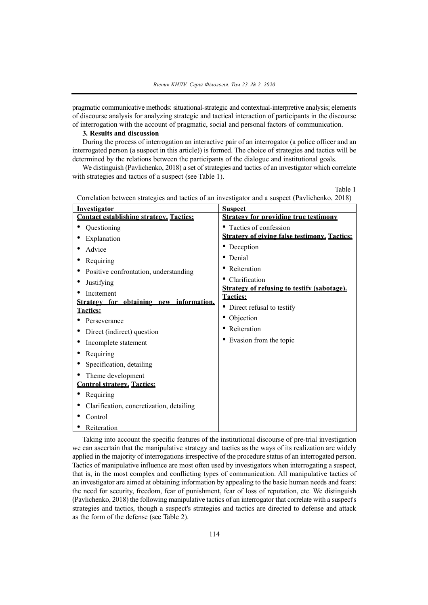pragmatic communicative methods: situational-strategic and contextual-interpretive analysis; elements of discourse analysis for analyzing strategic and tactical interaction of participants in the discourse of interrogation with the account of pragmatic, social and personal factors of communication.

## **3. Results and discussion**

During the process of interrogation an interactive pair of an interrogator (a police officer and an interrogated person (a suspect in this article)) is formed. The choice of strategies and tactics will be determined by the relations between the participants of the dialogue and institutional goals.

We distinguish (Pavlichenko, 2018) a set of strategies and tactics of an investigator which correlate with strategies and tactics of a suspect (see Table 1).

Table 1

| Investigator                                   | <b>Suspect</b>                                                 |
|------------------------------------------------|----------------------------------------------------------------|
| <b>Contact establishing strategy. Tactics:</b> | <b>Strategy for providing true testimony</b>                   |
| Questioning                                    | • Tactics of confession                                        |
| Explanation                                    | <b>Strategy of giving false testimony. Tactics:</b>            |
| Advice                                         | • Deception                                                    |
| Requiring                                      | • Denial                                                       |
| Positive confrontation, understanding          | • Reiteration                                                  |
| Justifying                                     | Clarification                                                  |
| Incitement                                     | Strategy of refusing to testify (sabotage).<br><b>Tactics:</b> |
| Strategy for obtaining new information.        |                                                                |
| <b>Tactics:</b>                                | • Direct refusal to testify                                    |
| Perseverance                                   | • Objection                                                    |
| Direct (indirect) question                     | • Reiteration                                                  |
| Incomplete statement                           | • Evasion from the topic                                       |
| Requiring                                      |                                                                |
| Specification, detailing                       |                                                                |
| Theme development                              |                                                                |
| <b>Control strategy. Tactics:</b>              |                                                                |
| Requiring                                      |                                                                |
| Clarification, concretization, detailing       |                                                                |
| Control                                        |                                                                |
| Reiteration                                    |                                                                |

Correlation between strategies and tactics of an investigator and a suspect (Pavlichenko, 2018)

Taking into account the specific features of the institutional discourse of pre-trial investigation we can ascertain that the manipulative strategy and tactics as the ways of its realization are widely applied in the majority of interrogations irrespective of the procedure status of an interrogated person. Tactics of manipulative influence are most often used by investigators when interrogating a suspect, that is, in the most complex and conflicting types of communication. All manipulative tactics of an investigator are aimed at obtaining information by appealing to the basic human needs and fears: the need for security, freedom, fear of punishment, fear of loss of reputation, etc. We distinguish (Pavlichenko, 2018) the following manipulative tactics of an interrogator that correlate with a suspect's strategies and tactics, though a suspect's strategies and tactics are directed to defense and attack as the form of the defense (see Table 2).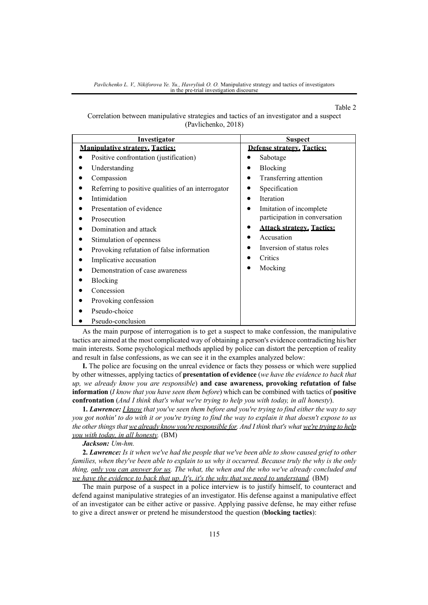*Pavlichenko L. V., Nikiforova Ye. Yu., Havryliuk O. O.* Manipulative strategy and tactics of investigators in the pre-trial investigation discourse

#### Table 2

Correlation between manipulative strategies and tactics of an investigator and a suspect (Pavlichenko, 2018)

| Investigator                                       | <b>Suspect</b>                   |
|----------------------------------------------------|----------------------------------|
| <b>Manipulative strategy. Tactics:</b>             | Defense strategy. Tactics:       |
| Positive confrontation (justification)             | Sabotage                         |
| Understanding                                      | Blocking                         |
| Compassion                                         | Transferring attention           |
| Referring to positive qualities of an interrogator | Specification                    |
| Intimidation                                       | <b>Iteration</b>                 |
| Presentation of evidence                           | Imitation of incomplete          |
| Prosecution                                        | participation in conversation    |
| Domination and attack                              | <b>Attack strategy. Tactics:</b> |
| Stimulation of openness                            | Accusation                       |
| Provoking refutation of false information          | Inversion of status roles        |
| Implicative accusation                             | Critics                          |
| Demonstration of case awareness                    | Mocking                          |
| Blocking                                           |                                  |
| Concession                                         |                                  |
| Provoking confession                               |                                  |
| Pseudo-choice                                      |                                  |
| Pseudo-conclusion                                  |                                  |

As the main purpose of interrogation is to get a suspect to make confession, the manipulative tactics are aimed at the most complicated way of obtaining a person's evidence contradicting his/her main interests. Some psychological methods applied by police can distort the perception of reality and result in false confessions, as we can see it in the examples analyzed below:

**I.** The police are focusing on the unreal evidence or facts they possess or which were supplied by other witnesses, applying tactics of **presentation of evidence** (*we have the evidence to back that up, we already know you are responsible*) **and case awareness, provoking refutation of false information** (*I know that you have seen them before*) which can be combined with tactics of **positive confrontation** (*And I think that's what we're trying to help you with today, in all honesty*).

**1. Lawrence:** I know that you've seen them before and you're trying to find either the way to say you got nothin' to do with it or you're trying to find the way to explain it that doesn't expose to us the other things that we already know you're responsible for. And I think that's what we're trying to help *you with today, in all honesty.* (BM)

*Jackson: Um-hm.*

2. Lawrence: Is it when we've had the people that we've been able to show caused grief to other families, when they've been able to explain to us why it occurred. Because truly the why is the only *thing, only you can answer for us. The what, the when and the who we've already concluded and we have the evidence to back that up. It's, it's the why that we need to understand.* (BM)

The main purpose of a suspect in a police interview is to justify himself, to counteract and defend against manipulative strategies of an investigator. His defense against a manipulative effect of an investigator can be either active or passive. Applying passive defense, he may either refuse to give a direct answer or pretend he misunderstood the question (**blocking tactics**):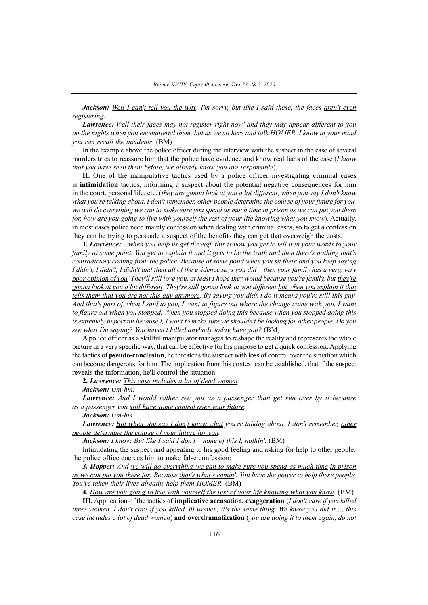Jackson: Well I can't tell you the why. I'm sorry, but like I said these, the faces aren't even *registering.*

*Lawrence: Well their faces may not register right now' and they may appear different to you* on the nights when you encountered them, but as we sit here and talk HOMER, I know in your mind *you can recall the incidents.* (BM)

In the example above the police officer during the interview with the suspect in the case of several murders tries to reassure him that the police have evidence and know real facts of the case (*I know that you have seen them before, we already know you are responsible*).

**II.** One of the manipulative tactics used by a police officer investigating criminal cases is **intimidation** tactics, informing a suspect about the potential negative consequences for him in the court, personal life, etc. (*they are gonna look at you a lot different, when you say I don't know what you're talking about, I don't remember, other people determine the course of your future for you,* we will do everything we can to make sure you spend as much time in prison as we can put you there for, how are you going to live with yourself the rest of your life knowing what you know). Actually, in most cases police need mainly confession when dealing with criminal cases, so to get a confession they can be trying to persuade a suspect of the benefits they can get that overweigh the costs.

**1. Lawrence:** ...when you help us get through this is now you get to tell it in your words to your family at some point. You get to explain it and it gets to be the truth and then there's nothing that's *contradictory coming from the police. Because at some point when you sit there and you keep saying* I didn't, I didn't, I didn't and then all of the evidence says you  $did$  – then your family has a very, very poor opinion of you. They'll still love you, at least I hope they would because you're family, but they're gonna look at you a lot different. They're still gonna look at you different but when you explain it that tells them that you are not this guy anymore. By saying you didn't do it means you're still this guy. And that's part of when I said to you, I want to figure out where the change came with you, I want *to figure out when you stopped. When you stopped doing this because when you stopped doing this* is extremely important because I, I want to make sure we shouldn't be looking for other people. Do you *see what I'm saying? You haven't killed anybody today have you?* (BM)

A police officer as a skillful manipulator manages to reshape the reality and represents the whole picture in a very specific way, that can be effective for his purpose to get a quick confession.Applying the tactics of **pseudo-conclusion**, he threatensthe suspect with loss of control over the situation which can become dangerous for him. The implication from this context can be established, that if the suspect reveals the information, he'll control the situation:

**2.** *Lawrence: This case includes a lot of dead women.*

*Jackson: Um-hm.*

*Lawrence: And I would rather see you as a passenger than get run over by it because as a passenger you still have some control over your future.*

*Jackson: Um-hm.*

*Lawrence: But when you say I don't know what you're talking about, I don't remember, other people determine the course of your future for you.*

*Jackson: I know. But like I said I don't – none of this I, nothin'.* (BM)

Intimidating the suspect and appealing to his good feeling and asking for help to other people, the police office coerces him to make false confession:

*3. Hopper: And we will do everything we can to make sure you spend as much time in prison* as we can put you there for. Because that's what's comin'. You have the power to help these people. *You've taken their lives already, help them HOMER.* (BM)

**4.** *How are you going to live with yourself the rest of your life knowing what you know.* (BM)

**III.** Application of the tactics **of implicative accusation, exaggeration** (*I don't care if you killed* three women, I don't care if you killed 30 women, it's the same thing. We know you did it..., this *case includes a lot of dead women*) **and overdramatization** (*you are doing it to them again, do not*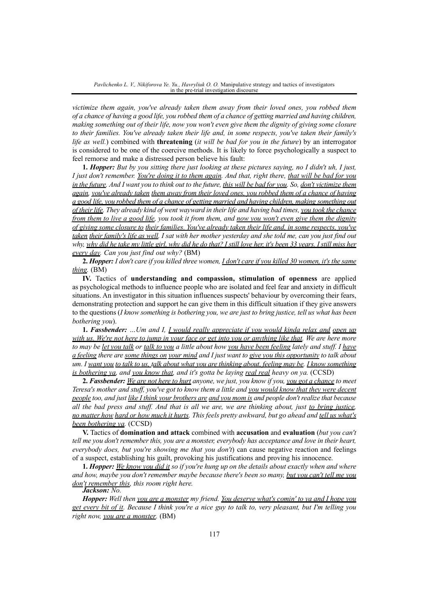*victimize them again, you've already taken them away from their loved ones, you robbed them* of a chance of having a good life, you robbed them of a chance of getting married and having children, making something out of their life, now you won't even give them the dignity of giving some closure *to their families. You've already taken their life and, in some respects, you've taken their family's life as well.*) combined with **threatening** (*it will be bad for you in the future*) by an interrogator is considered to be one of the coercive methods. It is likely to force psychologically a suspect to feel remorse and make a distressed person believe his fault:

**1. Hopper:** But by you sitting there just looking at these pictures saying, no I didn't uh, I just, I just don't remember. You're doing it to them again. And that, right there, that will be bad for you in the future. And I want you to think out to the future, this will be bad for you. So, don't victimize them *again, you've already taken them away from their loved ones, you robbed them of a chance of having* a good life, you robbed them of a chance of getting married and having children, making something out of their life. They already kind of went wayward in their life and having bad times, you took the chance from them to live a good life, you took it from them, and now you won't even give them the dignity *of giving some closure to their families. You've already taken their life and, in some respects, you've* taken their family's life as well. I sat with her mother vesterday and she told me, can you just find out why, why did he take my little girl, why did he do that? I still love her, it's been 33 years. I still miss her *every day. Can you just find out why?* (BM)

2. Hopper: I don't care if you killed three women, *I don't care if you killed 30 women, it's the same thing.* (BM)

**IV.** Tactics of **understanding and compassion, stimulation of openness** are applied as psychological methods to influence people who are isolated and feel fear and anxiety in difficult situations. An investigator in this situation influences suspects' behaviour by overcoming their fears, demonstrating protection and support he can give them in this difficult situation if they give answers to the questions (*I know something is bothering you, we are just to bring justice, tell us what has been bothering you*).

**1.** *Fassbender: …Um and I, I would really appreciate if you would kinda relax and open up* with us. We're not here to jump in your face or get into you or anything like that. We are here more to may be let you talk or talk to you a little about how you have been feeling lately and stuff. I have a feeling there are some things on your mind and I just want to give you this opportunity to talk about um. I want you to talk to us, talk about what you are thinking about, feeling may be. I know something *is bothering ya, and you know that, and it's gotta be laying real real heavy on ya.* (CCSD)

2. Fassbender: We are not here to hurt anyone, we just, you know if you, you got a chance to meet Teresa's mother and stuff, you've got to know them a little and you would know that they were decent people too, and just like I think your brothers are and you mom is and people don't realize that because all the bad press and stuff. And that is all we are, we are thinking about, just to bring justice. no matter how hard or how much it hurts. This feels pretty awkward, but go ahead and tell us what's *been bothering ya.* (CCSD)

**V.** Tactics of **domination and attack** combined with **accusation** and **evaluation** (*but you can't* tell me you don't remember this, you are a monster, everybody has acceptance and love in their heart, *everybody does, but you're showing me that you don't*) can cause negative reaction and feelings of a suspect, establishing his guilt, provoking his justifications and proving his innocence.

1. Hopper: We know you did it so if you're hung up on the details about exactly when and where *and how, maybe you don't remember maybe because there's been so many, but you can't tell me you don't remember this, this room right here.*

# *Jackson: No.*

Hopper: Well then you are a monster my friend. You deserve what's comin' to va and I hope you get every bit of it. Because I think you're a nice guy to talk to, very pleasant, but I'm telling you *right now, you are a monster.* (BM)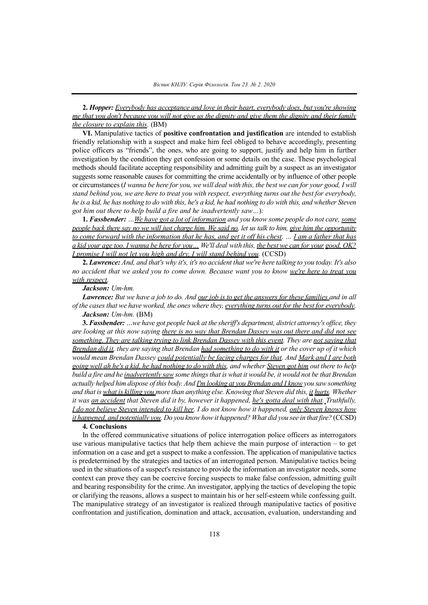**2.** *Hopper: Everybody has acceptance and love in their heart, everybody does, but you're showing* me that you don't because you will not give us the dignity and give them the dignity and their family *the closure to explain this.* (BM)

**VI.** Manipulative tactics of **positive confrontation and justification** are intended to establish friendly relationship with a suspect and make him feel obliged to behave accordingly, presenting police officers as "friends", the ones, who are going to support, justify and help him in further investigation by the condition they get confession or some details on the case. These psychological methods should facilitate accepting responsibility and admitting guilt by a suspect as an investigator suggests some reasonable causes for committing the crime accidentally or by influence of other people or circumstances (I wanna be here for you, we will deal with this, the best we can for your good, I will stand behind you, we are here to treat you with respect, everything turns out the best for everybody, he is a kid, he has nothing to do with this, he's a kid, he had nothing to do with this, and whether Steven *got him out there to help build a fire and he inadvertently saw…*)*:*

**1.** *Fassbender: …We have got a lot of information and you know some people do not care, some* people back there say no we will just charge him. We said no, let us talk to him, give him the opportunity to come forward with the information that he has, and get it off his chest. ... I am a father that has a kid your age too. I wanna be here for you... We'll deal with this, the best we can for your good, OK? *I promise I will not let you high and dry, I will stand behind you.* (CCSD)

2. Lawrence: And, and that's why it's, it's no accident that we're here talking to you today. It's also no accident that we asked you to come down. Because want you to know we're here to treat you *with respect.*

### *Jackson: Um-hm.*

**Lawrence:** But we have a job to do. And our job is to get the answers for these families and in all of the cases that we have worked, the ones where they, everything turns out for the best for everybody. *Jackson: Um-hm.* (BM)

**3.** *Fassbender: …we have got people back at the sheriff's department, district attorney's office, they* are looking at this now saying there is no way that Brendan Dassey was out there and did not see *something. They are talking trying to link Brendan Dassey with this event. They are not saying that* Brendan did it, they are saying that Brendan had something to do with it or the cover up of it which *would mean Brendan Dassey could potentially be facing charges for that. And Mark and I are both* going well ah he's a kid, he had nothing to do with this, and whether Steven got him out there to help build a fire and he *inadvertently saw* some things that is what it would be, it would not be that Brendan actually helped him dispose of this body. And I'm looking at you Brendan and I know you saw something and that is what is killing you more than anything else. Knowing that Steven did this, it hurts. Whether it was an accident that Steven did it by, however it happened, he's gotta deal with that. Truthfully, I do not believe Steven intended to kill her. I do not know how it happened, only Steven knows how it happened, and potentially you. Do you know how it happened? What did you see in that fire? (CCSD)

#### **4. Conclusions**

In the offered communicative situations of police interrogation police officers as interrogators use various manipulative tactics that help them achieve the main purpose of interaction – to get information on a case and get a suspect to make a confession. The application of manipulative tactics is predetermined by the strategies and tactics of an interrogated person. Manipulative tactics being used in the situations of a suspect's resistance to provide the information an investigator needs, some context can prove they can be coercive forcing suspects to make false confession, admitting guilt and bearing responsibility for the crime. An investigator, applying the tactics of developing the topic or clarifying the reasons, allows a suspect to maintain his or her self-esteem while confessing guilt. The manipulative strategy of an investigator is realized through manipulative tactics of positive confrontation and justification, domination and attack, accusation, evaluation, understanding and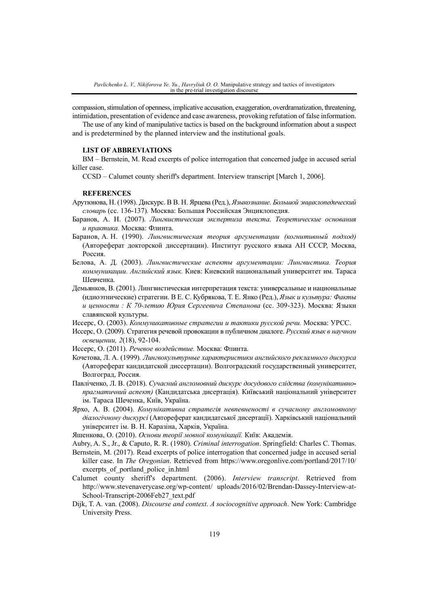compassion, stimulation of openness, implicative accusation, exaggeration, overdramatization, threatening, intimidation, presentation of evidence and case awareness, provoking refutation of false information.

The use of any kind of manipulative tactics is based on the background information about a suspect and is predetermined by the planned interview and the institutional goals.

#### **LIST OF ABBREVIATIONS**

BM – Bernstein, M. Read excerpts of police interrogation that concerned judge in accused serial killer case.

CCSD – Calumet county sheriff's department. Interview transcript [March 1, 2006].

### **REFERENCES**

- Арутюнова, Н. (1998). Дискурс. В В. Н. Ярцева (Ред.), *Языкознание. Большой энциклопедический словарь* (сс. 136-137)*.* Москва: Большая Российская Энциклопедия.
- Баранов, А. Н. (2007). *Лингвистическая экспертиза текста. Теоретические основания и практика.* Москва: Флинта.
- Баранов, А. Н. (1990). *Лингвистическая теория аргументации (когнитивный подход)* (Автореферат докторской диссертации). Институт русского языка АН СССР, Москва, Россия.
- Белова, А. Д. (2003). *Лингвистические аспекты аргументации: Лингвистика. Теория коммуникации. Английский язык.* Киев: Киевский национальный университет им. Тараса Шевченка.
- Демьянков, В. (2001). Лингвистическая интерпретация текста: универсальные и национальные (идиоэтнические) стратегии. В Е. С. Кубрякова, Т. Е. Янко (Ред.), *Язык и культура: Факты и ценности : К 70-летию Юрия Сергеевича Степанова* (сс. 309-323). Москва: Языки славянской культуры.
- Иссерс, О. (2003). *Коммуникативные стратегии и тактики русской речи.* Москва: УРСС.
- Иссерс, О. (2009). Стратегия речевой провокации в публичном диалоге. *Русский язык в научном освещении, 2*(18), 92-104.
- Иссерс, О. (2011). *Речевое воздействие.* Москва: Флинта*.*
- Кочетова, Л. А. (1999)*. Лингвокультурные характеристики английского рекламного дискурса* (Автореферат кандидатской диссертации). Волгоградский государственный университет, Волгоград, Россия.
- Павліченко, Л. В. (2018). *Сучасний англомовний дискурс досудового слідства (комунікативнопрагматичний аспект)* (Кандидатська дисертація). Київський національний університет ім. Тараса Шеченка, Київ, Україна.
- Ярхо, А. В. (2004). *Комунікативна стратегія невпевненості в сучасному англомовному діалогічному дискурсі* (Автореферат кандидатської дисертації). Харківський національний університет ім. В. Н. Каразіна, Харків, Україна.
- Яшенкова, О. (2010). *Основи теорії мовної комунікації.* Київ: Академія.
- Aubry, A. S., Jr., & Caputo, R. R. (1980). *Criminal interrogation*. Springfield: Charles C. Thomas.
- Bernstein, M. (2017). Read excerpts of police interrogation that concerned judge in accused serial killer case. In *The Oregonian*. Retrieved from https://www.oregonlive.com/portland/2017/10/ excerpts of portland police in.html
- Calumet county sheriff's department. (2006). *Interview transcript*. Retrieved from http://www.stevenaverycase.org/wp-content/ uploads/2016/02/Brendan-Dassey-Interview-at-School-Transcript-2006Feb27\_text.pdf
- Dijk, T. A. van. (2008). *Discourse and context*. *A sociocognitive approach*. New York: Cambridge University Press.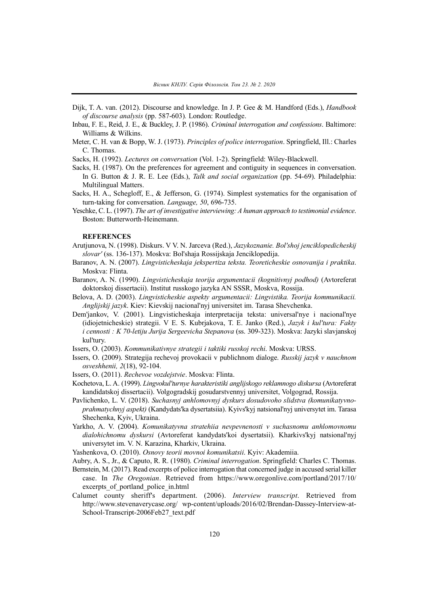- Dijk, T. A. van. (2012). Discourse and knowledge. In J. P. Gee & M. Handford (Eds.), *Handbook of discourse analysis* (pp. 587-603)*.* London: Routledge.
- Inbau, F. E., Reid, J. E., & Buckley, J. P. (1986). *Criminal interrogation and confessions*. Baltimore: Williams & Wilkins.
- Meter, C. H. van & Bopp, W. J. (1973). *Principles of police interrogation*. Springfield, Ill.: Charles C. Thomas.

Sacks, H. (1992). *Lectures on conversation* (Vol. 1-2). Springfield: Wiley-Blackwell.

- Sacks, H. (1987). On the preferences for agreement and contiguity in sequences in conversation. In G. Button & J. R. E. Lee (Eds.), *Talk and social organization* (pp. 54-69). Philadelphia: Multilingual Matters.
- Sacks, H. A., Schegloff, E., & Jefferson, G. (1974). Simplest systematics for the organisation of turn-taking for conversation. *Language, 50*, 696-735.
- Yeschke, C. L. (1997). *The art of investigative interviewing: A human approach to testimonial evidence*. Boston: Butterworth-Heinemann.

### **REFERENCES**

- Arutjunova, N. (1998). Diskurs. V V. N. Jarceva (Red.), *Jazykoznanie. Bol'shoj jenciklopedicheskij slovar'* (ss. 136-137). Moskva: Bol'shaja Rossijskaja Jenciklopedija.
- Baranov, A. N. (2007). *Lingvisticheskaja jekspertiza teksta. Teoreticheskie osnovanija i praktika*. Moskva: Flinta.
- Baranov, A. N. (1990). *Lingvisticheskaja teorija argumentacii (kognitivnyj podhod)* (Avtoreferat doktorskoj dissertacii). Institut russkogo jazyka AN SSSR, Moskva, Rossija.
- Belova, A. D. (2003). *Lingvisticheskie aspekty argumentacii: Lingvistika. Teorija kommunikacii. Anglijskij jazyk*. Kiev: Kievskij nacional'nyj universitet im. Tarasa Shevchenka.
- Dem'jankov, V. (2001). Lingvisticheskaja interpretacija teksta: universal'nye i nacional'nye (idiojetnicheskie) strategii. V E. S. Kubrjakova, T. E. Janko (Red.), *Jazyk i kul'tura: Fakty i cennosti : K 70-letiju Jurija Sergeevicha Stepanova* (ss. 309-323). Moskva: Jazyki slavjanskoj kul'tury.
- Issers, O. (2003). *Kommunikativnye strategii i taktiki russkoj rechi*. Moskva: URSS.
- Issers, O. (2009). Strategija rechevoj provokacii v publichnom dialoge. *Russkij jazyk v nauchnom osveshhenii, 2*(18), 92-104.
- Issers, O. (2011). *Rechevoe vozdejstvie*. Moskva: Flinta.

Kochetova, L. A. (1999). *Lingvokul'turnye harakteristiki anglijskogo reklamnogo diskursa* (Avtoreferat kandidatskoj dissertacii). Volgogradskij gosudarstvennyj universitet, Volgograd, Rossija.

- Pavlichenko, L. V. (2018). *Suchasnyj anhlomovnyj dyskurs dosudovoho slidstva (komunikatyvnoprahmatychnyj aspekt)* (Kandydats'ka dysertatsiia). Kyivs'kyj natsional'nyj universytet im. Tarasa Shechenka, Kyiv, Ukraina.
- Yarkho, A. V. (2004). *Komunikatyvna stratehiia nevpevnenosti v suchasnomu anhlomovnomu dialohichnomu dyskursi* (Avtoreferat kandydats'koi dysertatsii). Kharkivs'kyj natsional'nyj universytet im. V. N. Karazina, Kharkiv, Ukraina.

Yashenkova, O. (2010). *Osnovy teorii movnoi komunikatsii*. Kyiv: Akademiia.

- Aubry, A. S., Jr., & Caputo, R. R. (1980). *Criminal interrogation*. Springfield: Charles C. Thomas.
- Bernstein, M. (2017). Read excerpts of police interrogation that concerned judge in accused serial killer case. In *The Oregonian*. Retrieved from https://www.oregonlive.com/portland/2017/10/ excerpts of portland police in.html
- Calumet county sheriff's department. (2006). *Interview transcript*. Retrieved from http://www.stevenaverycase.org/ wp-content/uploads/2016/02/Brendan-Dassey-Interview-at-School-Transcript-2006Feb27\_text.pdf